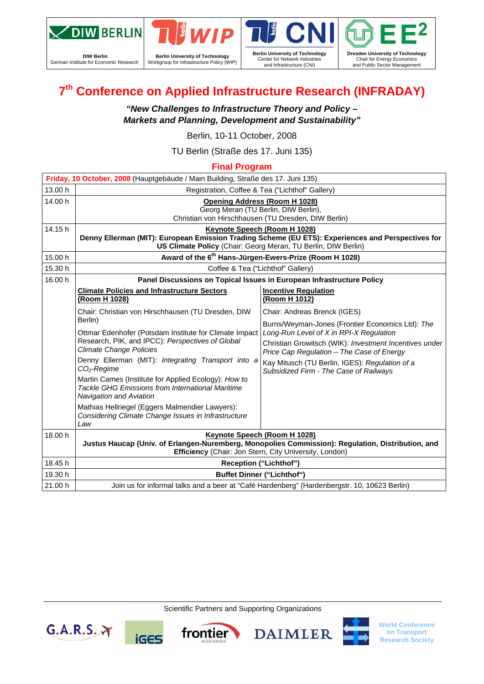

**DIW Berlin**  German Institute for Economic Research



**Berlin University of Technology**  Workgroup for Infrastructure Policy (WIP)





**World Conference on Transport Research Society**

# **7th Conference on Applied Infrastructure Research (INFRADAY)**

*"New Challenges to Infrastructure Theory and Policy – Markets and Planning, Development and Sustainability"* 

Berlin, 10-11 October, 2008

TU Berlin (Straße des 17. Juni 135)

## **Final Program**

| Friday, 10 October, 2008 (Hauptgebäude / Main Building, Straße des 17. Juni 135) |                                                                                                                                                                                                                                                                                                                                                                                                                                                                                                      |                                                                                                                                                                                                                                                                                                |  |  |  |  |
|----------------------------------------------------------------------------------|------------------------------------------------------------------------------------------------------------------------------------------------------------------------------------------------------------------------------------------------------------------------------------------------------------------------------------------------------------------------------------------------------------------------------------------------------------------------------------------------------|------------------------------------------------------------------------------------------------------------------------------------------------------------------------------------------------------------------------------------------------------------------------------------------------|--|--|--|--|
| 13.00 h                                                                          | Registration, Coffee & Tea ("Lichthof" Gallery)                                                                                                                                                                                                                                                                                                                                                                                                                                                      |                                                                                                                                                                                                                                                                                                |  |  |  |  |
| 14.00 h                                                                          | <b>Opening Address (Room H 1028)</b><br>Georg Meran (TU Berlin, DIW Berlin),<br>Christian von Hirschhausen (TU Dresden, DIW Berlin)                                                                                                                                                                                                                                                                                                                                                                  |                                                                                                                                                                                                                                                                                                |  |  |  |  |
| 14.15h                                                                           | Keynote Speech (Room H 1028)<br>Denny Ellerman (MIT): European Emission Trading Scheme (EU ETS): Experiences and Perspectives for<br>US Climate Policy (Chair: Georg Meran, TU Berlin, DIW Berlin)                                                                                                                                                                                                                                                                                                   |                                                                                                                                                                                                                                                                                                |  |  |  |  |
| 15.00 h                                                                          |                                                                                                                                                                                                                                                                                                                                                                                                                                                                                                      | Award of the 6 <sup>th</sup> Hans-Jürgen-Ewers-Prize (Room H 1028)                                                                                                                                                                                                                             |  |  |  |  |
| 15.30 h                                                                          |                                                                                                                                                                                                                                                                                                                                                                                                                                                                                                      | Coffee & Tea ("Lichthof" Gallery)                                                                                                                                                                                                                                                              |  |  |  |  |
| 16.00 h                                                                          |                                                                                                                                                                                                                                                                                                                                                                                                                                                                                                      | Panel Discussions on Topical Issues in European Infrastructure Policy                                                                                                                                                                                                                          |  |  |  |  |
|                                                                                  | <b>Climate Policies and Infrastructure Sectors</b><br>(Room H 1028)                                                                                                                                                                                                                                                                                                                                                                                                                                  | <b>Incentive Regulation</b><br>(Room H 1012)                                                                                                                                                                                                                                                   |  |  |  |  |
|                                                                                  | Chair: Christian von Hirschhausen (TU Dresden, DIW                                                                                                                                                                                                                                                                                                                                                                                                                                                   | Chair: Andreas Brenck (IGES)                                                                                                                                                                                                                                                                   |  |  |  |  |
|                                                                                  | Berlin)<br>Ottmar Edenhofer (Potsdam Institute for Climate Impact<br>Research, PIK, and IPCC): Perspectives of Global<br><b>Climate Change Policies</b><br>Denny Ellerman (MIT): Integrating Transport into a<br>$CO2$ -Regime<br>Martin Cames (Institute for Applied Ecology): How to<br><b>Tackle GHG Emissions from International Maritime</b><br><b>Navigation and Aviation</b><br>Mathias Hellriegel (Eggers Malmendier Lawyers):<br>Considering Climate Change Issues in Infrastructure<br>Law | Burns/Weyman-Jones (Frontier Economics Ltd): The<br>Long-Run Level of X in RPI-X Regulation<br>Christian Growitsch (WIK): Investment Incentives under<br>Price Cap Regulation - The Case of Energy<br>Kay Mitusch (TU Berlin, IGES): Regulation of a<br>Subsidized Firm - The Case of Railways |  |  |  |  |
| 18.00 h                                                                          | Keynote Speech (Room H 1028)<br>Justus Haucap (Univ. of Erlangen-Nuremberg, Monopolies Commission): Regulation, Distribution, and<br>Efficiency (Chair: Jon Stern, City University, London)                                                                                                                                                                                                                                                                                                          |                                                                                                                                                                                                                                                                                                |  |  |  |  |
| 18.45 h                                                                          | <b>Reception ("Lichthof")</b>                                                                                                                                                                                                                                                                                                                                                                                                                                                                        |                                                                                                                                                                                                                                                                                                |  |  |  |  |
| 19.30 h                                                                          | <b>Buffet Dinner ("Lichthof")</b>                                                                                                                                                                                                                                                                                                                                                                                                                                                                    |                                                                                                                                                                                                                                                                                                |  |  |  |  |
| 21.00 h                                                                          | Join us for informal talks and a beer at "Café Hardenberg" (Hardenbergstr. 10, 10623 Berlin)                                                                                                                                                                                                                                                                                                                                                                                                         |                                                                                                                                                                                                                                                                                                |  |  |  |  |

Scientific Partners and Supporting Organizations

**DAIMLER** 

frontier

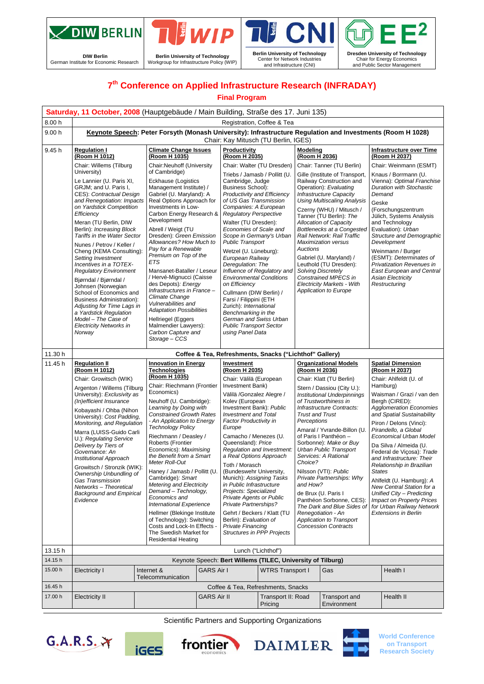

**DIW Berlin**  German Institute for Economic Research



|<br>| **Berlin University of Technology**  Center for Network Industries and Infrastructure (CNI)



# **7th Conference on Applied Infrastructure Research (INFRADAY)**

#### **Final Program**

|                    | Saturday, 11 October, 2008 (Hauptgebäude / Main Building, Straße des 17. Juni 135)                                                                                                                                                                                                                                                                                                                                                                                                                                                                                                                                     |                                                                                                                                                                                                                                                                                                                                                                                                                                                                                                                                                                                                        |                                                                                                                                                                                                                                                                                                                                                                                                                                                                                                                                                                                           |                                                                                                                                                                                                                                                                                                                                                                                                                                                                                                                                                                                                                       |                                                                                                                                                                                                                                                                                                                                                                                                                                                                                                                                                                                                                                                |                           |                                                                                                                                                                                                                                                                                                                                                                                                                                                                                                                                                                                                                         |                                                                                                                                                                                                                                                                                                                                                                                                                                                                                                                                                                                                     |  |
|--------------------|------------------------------------------------------------------------------------------------------------------------------------------------------------------------------------------------------------------------------------------------------------------------------------------------------------------------------------------------------------------------------------------------------------------------------------------------------------------------------------------------------------------------------------------------------------------------------------------------------------------------|--------------------------------------------------------------------------------------------------------------------------------------------------------------------------------------------------------------------------------------------------------------------------------------------------------------------------------------------------------------------------------------------------------------------------------------------------------------------------------------------------------------------------------------------------------------------------------------------------------|-------------------------------------------------------------------------------------------------------------------------------------------------------------------------------------------------------------------------------------------------------------------------------------------------------------------------------------------------------------------------------------------------------------------------------------------------------------------------------------------------------------------------------------------------------------------------------------------|-----------------------------------------------------------------------------------------------------------------------------------------------------------------------------------------------------------------------------------------------------------------------------------------------------------------------------------------------------------------------------------------------------------------------------------------------------------------------------------------------------------------------------------------------------------------------------------------------------------------------|------------------------------------------------------------------------------------------------------------------------------------------------------------------------------------------------------------------------------------------------------------------------------------------------------------------------------------------------------------------------------------------------------------------------------------------------------------------------------------------------------------------------------------------------------------------------------------------------------------------------------------------------|---------------------------|-------------------------------------------------------------------------------------------------------------------------------------------------------------------------------------------------------------------------------------------------------------------------------------------------------------------------------------------------------------------------------------------------------------------------------------------------------------------------------------------------------------------------------------------------------------------------------------------------------------------------|-----------------------------------------------------------------------------------------------------------------------------------------------------------------------------------------------------------------------------------------------------------------------------------------------------------------------------------------------------------------------------------------------------------------------------------------------------------------------------------------------------------------------------------------------------------------------------------------------------|--|
| 8.00 h             |                                                                                                                                                                                                                                                                                                                                                                                                                                                                                                                                                                                                                        | Registration, Coffee & Tea                                                                                                                                                                                                                                                                                                                                                                                                                                                                                                                                                                             |                                                                                                                                                                                                                                                                                                                                                                                                                                                                                                                                                                                           |                                                                                                                                                                                                                                                                                                                                                                                                                                                                                                                                                                                                                       |                                                                                                                                                                                                                                                                                                                                                                                                                                                                                                                                                                                                                                                |                           |                                                                                                                                                                                                                                                                                                                                                                                                                                                                                                                                                                                                                         |                                                                                                                                                                                                                                                                                                                                                                                                                                                                                                                                                                                                     |  |
| 9.00h              | Keynote Speech: Peter Forsyth (Monash University): Infrastructure Regulation and Investments (Room H 1028)<br>Chair: Kay Mitusch (TU Berlin, IGES)                                                                                                                                                                                                                                                                                                                                                                                                                                                                     |                                                                                                                                                                                                                                                                                                                                                                                                                                                                                                                                                                                                        |                                                                                                                                                                                                                                                                                                                                                                                                                                                                                                                                                                                           |                                                                                                                                                                                                                                                                                                                                                                                                                                                                                                                                                                                                                       |                                                                                                                                                                                                                                                                                                                                                                                                                                                                                                                                                                                                                                                |                           |                                                                                                                                                                                                                                                                                                                                                                                                                                                                                                                                                                                                                         |                                                                                                                                                                                                                                                                                                                                                                                                                                                                                                                                                                                                     |  |
| 9.45 h             | <b>Regulation I</b><br>(Room H 1012)                                                                                                                                                                                                                                                                                                                                                                                                                                                                                                                                                                                   | <b>Climate Change Issues</b><br>(Room H 1035)                                                                                                                                                                                                                                                                                                                                                                                                                                                                                                                                                          |                                                                                                                                                                                                                                                                                                                                                                                                                                                                                                                                                                                           | Productivity<br>(Room H 2035)                                                                                                                                                                                                                                                                                                                                                                                                                                                                                                                                                                                         |                                                                                                                                                                                                                                                                                                                                                                                                                                                                                                                                                                                                                                                | Modeling<br>(Room H 2036) |                                                                                                                                                                                                                                                                                                                                                                                                                                                                                                                                                                                                                         | Infrastructure over Time<br>(Room H 2037)                                                                                                                                                                                                                                                                                                                                                                                                                                                                                                                                                           |  |
|                    | Chair: Willems (Tilburg<br>University)                                                                                                                                                                                                                                                                                                                                                                                                                                                                                                                                                                                 | Chair:Neuhoff (University<br>of Cambridge)                                                                                                                                                                                                                                                                                                                                                                                                                                                                                                                                                             |                                                                                                                                                                                                                                                                                                                                                                                                                                                                                                                                                                                           | Chair: Walter (TU Dresden)                                                                                                                                                                                                                                                                                                                                                                                                                                                                                                                                                                                            |                                                                                                                                                                                                                                                                                                                                                                                                                                                                                                                                                                                                                                                |                           | Chair: Tanner (TU Berlin)                                                                                                                                                                                                                                                                                                                                                                                                                                                                                                                                                                                               | Chair: Weinmann (ESMT)                                                                                                                                                                                                                                                                                                                                                                                                                                                                                                                                                                              |  |
|                    | Le Lannier (U. Paris XI,<br>GRJM; and U. Paris I,<br>CES): Contractual Design<br>and Renegotiation: Impacts<br>on Yardstick Competition<br>Efficiency<br>Meran (TU Berlin, DIW<br>Berlin): Increasing Block<br>Tariffs in the Water Sector<br>Nunes / Petrov / Keller /<br>Cheng (KEMA Consulting):<br>Setting Investment<br>Incentives in a TOTEX-<br><b>Regulatory Environment</b><br>Bjørndal / Bjørndal /<br>Johnsen (Norwegian<br>School of Economics and<br><b>Business Administration):</b><br>Adjusting for Time Lags in<br>a Yardstick Regulation<br>Model – The Case of<br>Electricity Networks in<br>Norway | Eckhause (Logistics<br>Management Institute) /<br>Gabriel (U. Maryland): A<br>Real Options Approach for<br>Investments in Low-<br>Carbon Energy Research &<br>Development<br>Abrell / Weigt (TU<br>Dresden): Green Emission<br>Allowances? How Much to<br>Pay for a Renewable<br>Premium on Top of the<br>ETS<br>Mansanet-Bataller / Leseur<br>/ Hervé-Mignucci (Caisse<br>des Depots) <i>: Energy</i><br>Infrastructures in France -<br>Climate Change<br>Vulnerabilities and<br><b>Adaptation Possibilities</b><br>Hellriegel (Eggers<br>Malmendier Lawyers):<br>Carbon Capture and<br>Storage - CCS |                                                                                                                                                                                                                                                                                                                                                                                                                                                                                                                                                                                           | Triebs / Jamasb / Pollitt (U.<br>Cambridge, Judge<br><b>Business School):</b><br>Productivity and Efficiency<br>of US Gas Transmission<br>Companies: A European<br><b>Regulatory Perspective</b><br>Walter (TU Dresden):<br>Economies of Scale and<br>Scope in Germany's Urban<br><b>Public Transport</b><br>Wetzel (U. Lüneburg):<br>European Railway<br>Deregulation: The<br><b>Environmental Conditions</b><br>on Efficiency<br>Cullmann (DIW Berlin) /<br>Farsi / Filippini (ETH<br>Zurich): International<br>Benchmarking in the<br>German and Swiss Urban<br><b>Public Transport Sector</b><br>using Panel Data | Influence of Regulatory and                                                                                                                                                                                                                                                                                                                                                                                                                                                                                                                                                                                                                    | Auctions                  | Gille (Institute of Transport,<br>Railway Construction and<br>Operation): Evaluating<br><b>Infrastructure Capacity</b><br><b>Using Multiscaling Analysis</b><br>Czerny (WHU) / Mitusch /<br>Tanner (TU Berlin): The<br>Allocation of Capacity<br>Bottlenecks at a Congested<br>Rail Network: Rail Traffic<br><b>Maximization versus</b><br>Gabriel (U. Maryland) /<br>Leuthold (TU Dresden):<br><b>Solving Discretely</b><br>Constrained MPECS in<br>Electricity Markets - With<br><b>Application to Europe</b>                                                                                                         | Knaus / Borrmann (U.<br>Vienna): Optimal Franchise<br>Duration with Stochastic<br>Demand<br>Geske<br>(Forschungszentrum<br>Jülich, Systems Analysis<br>and Technology<br>Evaluation): Urban<br>Structure and Demographic<br>Development<br>Weinmann / Burger<br>(ESMT): Determinates of<br>Privatization Revenues in<br><b>East European and Central</b><br><b>Asian Electricity</b><br>Restructuring                                                                                                                                                                                               |  |
| 11.30 h            |                                                                                                                                                                                                                                                                                                                                                                                                                                                                                                                                                                                                                        |                                                                                                                                                                                                                                                                                                                                                                                                                                                                                                                                                                                                        |                                                                                                                                                                                                                                                                                                                                                                                                                                                                                                                                                                                           | Coffee & Tea, Refreshments, Snacks ("Lichthof" Gallery)                                                                                                                                                                                                                                                                                                                                                                                                                                                                                                                                                               |                                                                                                                                                                                                                                                                                                                                                                                                                                                                                                                                                                                                                                                |                           |                                                                                                                                                                                                                                                                                                                                                                                                                                                                                                                                                                                                                         |                                                                                                                                                                                                                                                                                                                                                                                                                                                                                                                                                                                                     |  |
| 11.45h             | <b>Regulation II</b><br>(Room H 1012)<br>Chair: Growitsch (WIK)<br>Argenton / Willems (Tilburg<br>University): Exclusivity as<br>(In)efficient Insurance<br>Kobayashi / Ohba (Nihon<br>University): Cost Padding,<br>Monitoring, and Regulation<br>Marra (LUISS-Guido Carli<br>U.): Regulating Service<br>Delivery by Tiers of<br>Governance: An<br>Institutional Approach<br>Growitsch / Stronzik (WIK):<br>Ownership Unbundling of<br>Gas Transmission<br>Networks - Theoretical<br><b>Background and Empirical</b><br>Evidence                                                                                      | Technologies<br>(Room H 1035)<br>Economics)<br>Roberts (Frontier<br>Meter Roll-Out<br>Economics and                                                                                                                                                                                                                                                                                                                                                                                                                                                                                                    | <b>Innovation in Energy</b><br>Chair: Riechmann (Frontier<br>Neuhoff (U. Cambridge):<br>Learning by Doing with<br><b>Constrained Growth Rates</b><br>- An Application to Energy<br><b>Technology Policy</b><br>Riechmann / Deasley /<br>Economics): Maximising<br>the Benefit from a Smart<br>Haney / Jamasb / Pollitt (U.<br>Cambridge): Smart<br><b>Metering and Electricity</b><br>Demand - Technology,<br>International Experience<br>Hellmer (Blekinge Institute<br>of Technology): Switching<br>Costs and Lock-In Effects -<br>The Swedish Market for<br><b>Residential Heating</b> |                                                                                                                                                                                                                                                                                                                                                                                                                                                                                                                                                                                                                       | Investment<br>(Room H 2035)<br>Chair: Välilä (European<br>Investment Bank)<br>Välilä /Gonzalez Alegre /<br>Kolev (European<br>Investment Bank): Public<br><b>Investment and Total</b><br><b>Factor Productivity in</b><br>Europe<br>Camacho / Menezes (U.<br>Queensland): Price<br>Regulation and Investment:<br>a Real Options Approach<br>Toth / Morasch<br>(Bundeswehr University,<br>Munich): Assigning Tasks<br>in Public Infrastructure<br>Projects: Specialized<br>Private Agents or Public<br>Private Partnerships?<br>Gehrt / Beckers / Klatt (TU<br>Berlin): Evaluation of<br>Private Financing<br><b>Structures in PPP Projects</b> |                           | Organizational Models<br>(Room H 2036)<br>Chair: Klatt (TU Berlin)<br>Stern / Dassiou (City U.):<br>Institutional Underpinnings<br>of Trustworthiness in<br>Infrastructure Contracts:<br><b>Trust and Trust</b><br>Perceptions<br>Amaral / Yvrande-Billon (U<br>of Paris I Panthéon -<br>Sorbonne): Make or Buy<br>Urban Public Transport<br>Services: A Rational<br>Choice?<br>Nilsson (VTI): Public<br>Private Partnerships: Why<br>and How?<br>de Brux (U. Paris I<br>Panthéon Sorbonne, CES):<br>The Dark and Blue Sides of<br>Renegotiation - An<br><b>Application to Transport</b><br><b>Concession Contracts</b> | <b>Spatial Dimension</b><br>(Room H 2037)<br>Chair: Ahlfeldt (U. of<br>Hamburg)<br>Waisman / Grazi / van den<br>Bergh (CIRED):<br><b>Agglomeration Economies</b><br>and Spatial Sustainability<br>Piron / Delons (Vinci):<br>Pirandello, a Global<br>Economical Urban Model<br>Da Silva / Almeida (U.<br>Federal de Vicosa): Trade<br>and Infrastructure: Their<br>Relationship in Brazilian<br><b>States</b><br>Ahlfeldt (U. Hamburg): A<br>New Central Station for a<br>Unified City - Predicting<br><b>Impact on Property Prices</b><br>for Urban Railway Network<br><b>Extensions in Berlin</b> |  |
|                    | Lunch ("Lichthof")                                                                                                                                                                                                                                                                                                                                                                                                                                                                                                                                                                                                     |                                                                                                                                                                                                                                                                                                                                                                                                                                                                                                                                                                                                        |                                                                                                                                                                                                                                                                                                                                                                                                                                                                                                                                                                                           |                                                                                                                                                                                                                                                                                                                                                                                                                                                                                                                                                                                                                       |                                                                                                                                                                                                                                                                                                                                                                                                                                                                                                                                                                                                                                                |                           |                                                                                                                                                                                                                                                                                                                                                                                                                                                                                                                                                                                                                         |                                                                                                                                                                                                                                                                                                                                                                                                                                                                                                                                                                                                     |  |
| 13.15h             |                                                                                                                                                                                                                                                                                                                                                                                                                                                                                                                                                                                                                        |                                                                                                                                                                                                                                                                                                                                                                                                                                                                                                                                                                                                        |                                                                                                                                                                                                                                                                                                                                                                                                                                                                                                                                                                                           |                                                                                                                                                                                                                                                                                                                                                                                                                                                                                                                                                                                                                       |                                                                                                                                                                                                                                                                                                                                                                                                                                                                                                                                                                                                                                                |                           |                                                                                                                                                                                                                                                                                                                                                                                                                                                                                                                                                                                                                         |                                                                                                                                                                                                                                                                                                                                                                                                                                                                                                                                                                                                     |  |
| 14.15h             |                                                                                                                                                                                                                                                                                                                                                                                                                                                                                                                                                                                                                        |                                                                                                                                                                                                                                                                                                                                                                                                                                                                                                                                                                                                        |                                                                                                                                                                                                                                                                                                                                                                                                                                                                                                                                                                                           | Keynote Speech: Bert Willems (TILEC, University of Tilburg)                                                                                                                                                                                                                                                                                                                                                                                                                                                                                                                                                           |                                                                                                                                                                                                                                                                                                                                                                                                                                                                                                                                                                                                                                                |                           |                                                                                                                                                                                                                                                                                                                                                                                                                                                                                                                                                                                                                         |                                                                                                                                                                                                                                                                                                                                                                                                                                                                                                                                                                                                     |  |
| 15.00 h            | Electricity I                                                                                                                                                                                                                                                                                                                                                                                                                                                                                                                                                                                                          | Internet &<br>Telecommunication                                                                                                                                                                                                                                                                                                                                                                                                                                                                                                                                                                        | <b>GARS Air I</b>                                                                                                                                                                                                                                                                                                                                                                                                                                                                                                                                                                         |                                                                                                                                                                                                                                                                                                                                                                                                                                                                                                                                                                                                                       | <b>WTRS Transport I</b>                                                                                                                                                                                                                                                                                                                                                                                                                                                                                                                                                                                                                        |                           | Gas                                                                                                                                                                                                                                                                                                                                                                                                                                                                                                                                                                                                                     | Health I                                                                                                                                                                                                                                                                                                                                                                                                                                                                                                                                                                                            |  |
| 16.45 h<br>17.00 h | Electricity II                                                                                                                                                                                                                                                                                                                                                                                                                                                                                                                                                                                                         |                                                                                                                                                                                                                                                                                                                                                                                                                                                                                                                                                                                                        | <b>GARS Air II</b>                                                                                                                                                                                                                                                                                                                                                                                                                                                                                                                                                                        | Coffee & Tea, Refreshments, Snacks                                                                                                                                                                                                                                                                                                                                                                                                                                                                                                                                                                                    | Transport II: Road                                                                                                                                                                                                                                                                                                                                                                                                                                                                                                                                                                                                                             |                           | <b>Transport and</b>                                                                                                                                                                                                                                                                                                                                                                                                                                                                                                                                                                                                    | Health II                                                                                                                                                                                                                                                                                                                                                                                                                                                                                                                                                                                           |  |

Scientific Partners and Supporting Organizations











**World Conference on Transport Research Society**